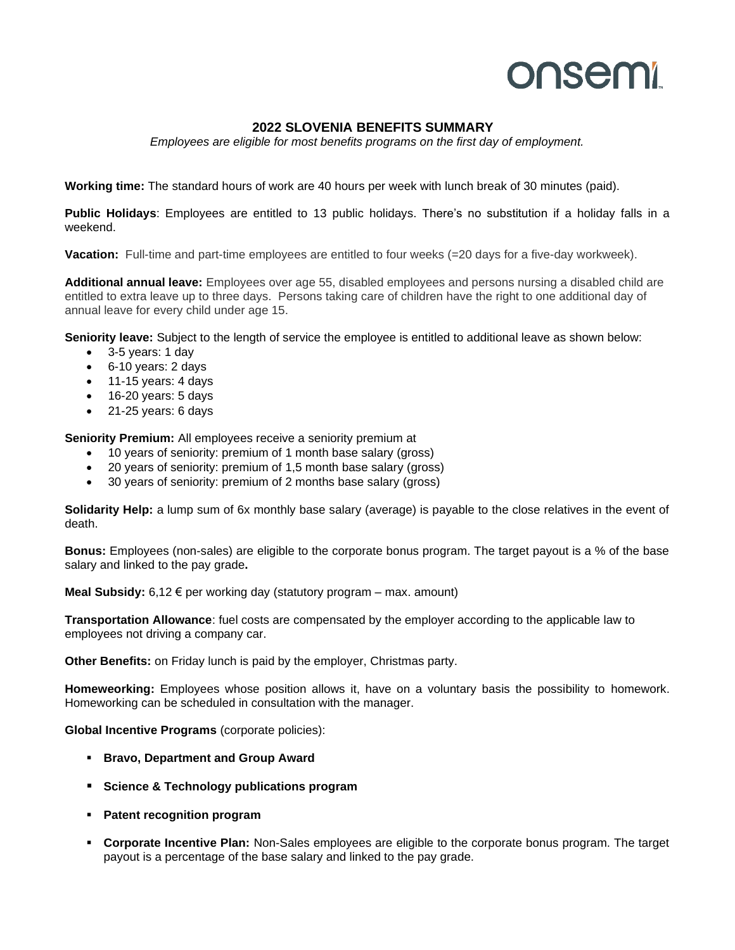## onsemi

## **2022 SLOVENIA BENEFITS SUMMARY**

*Employees are eligible for most benefits programs on the first day of employment.*

**Working time:** The standard hours of work are 40 hours per week with lunch break of 30 minutes (paid).

**Public Holidays**: Employees are entitled to 13 public holidays. There's no substitution if a holiday falls in a weekend.

**Vacation:** Full-time and part-time employees are entitled to four weeks (=20 days for a five-day workweek).

**Additional annual leave:** Employees over age 55, disabled employees and persons nursing a disabled child are entitled to extra leave up to three days. Persons taking care of children have the right to one additional day of annual leave for every child under age 15.

**Seniority leave:** Subject to the length of service the employee is entitled to additional leave as shown below:

- 3-5 years: 1 day
- 6-10 years: 2 days
- 11-15 years: 4 days
- 16-20 years: 5 days
- 21-25 years: 6 days

**Seniority Premium:** All employees receive a seniority premium at

- 10 years of seniority: premium of 1 month base salary (gross)
- 20 years of seniority: premium of 1,5 month base salary (gross)
- 30 years of seniority: premium of 2 months base salary (gross)

**Solidarity Help:** a lump sum of 6x monthly base salary (average) is payable to the close relatives in the event of death.

**Bonus:** Employees (non-sales) are eligible to the corporate bonus program. The target payout is a % of the base salary and linked to the pay grade**.**

**Meal Subsidy:** 6,12 € per working day (statutory program – max. amount)

**Transportation Allowance**: fuel costs are compensated by the employer according to the applicable law to employees not driving a company car.

**Other Benefits:** on Friday lunch is paid by the employer, Christmas party.

**Homeweorking:** Employees whose position allows it, have on a voluntary basis the possibility to homework. Homeworking can be scheduled in consultation with the manager.

**Global Incentive Programs** (corporate policies):

- **Bravo, Department and Group Award**
- **Science & Technology publications program**
- **Patent recognition program**
- **Corporate Incentive Plan:** Non-Sales employees are eligible to the corporate bonus program. The target payout is a percentage of the base salary and linked to the pay grade.